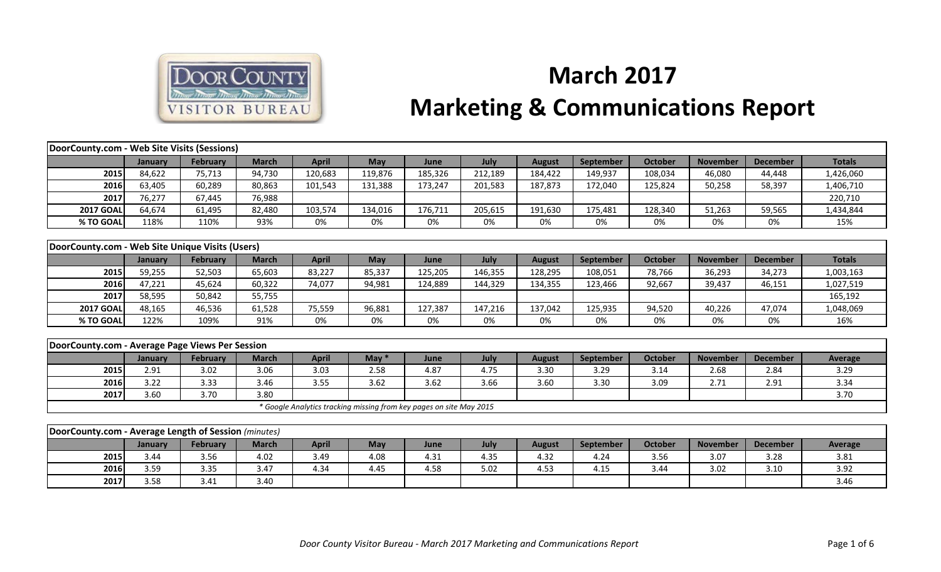

## **March 2017 Marketing & Communications Report**

| DoorCounty.com - Web Site Visits (Sessions)          |         |                 |              |                                                                     |         |         |         |               |                  |                |                 |                 |                |
|------------------------------------------------------|---------|-----------------|--------------|---------------------------------------------------------------------|---------|---------|---------|---------------|------------------|----------------|-----------------|-----------------|----------------|
|                                                      | January | <b>February</b> | <b>March</b> | <b>April</b>                                                        | May     | June    | July    | <b>August</b> | <b>September</b> | <b>October</b> | <b>November</b> | <b>December</b> | <b>Totals</b>  |
| 2015                                                 | 84,622  | 75,713          | 94,730       | 120,683                                                             | 119,876 | 185,326 | 212,189 | 184,422       | 149,937          | 108,034        | 46,080          | 44,448          | 1,426,060      |
| 2016                                                 | 63,405  | 60,289          | 80,863       | 101,543                                                             | 131,388 | 173,247 | 201,583 | 187,873       | 172,040          | 125,824        | 50,258          | 58,397          | 1,406,710      |
| 2017                                                 | 76,277  | 67,445          | 76,988       |                                                                     |         |         |         |               |                  |                |                 |                 | 220,710        |
| <b>2017 GOAL</b>                                     | 64,674  | 61,495          | 82,480       | 103,574                                                             | 134,016 | 176,711 | 205,615 | 191,630       | 175,481          | 128,340        | 51,263          | 59,565          | 1,434,844      |
| % TO GOAL                                            | 118%    | 110%            | 93%          | 0%                                                                  | 0%      | 0%      | 0%      | 0%            | 0%               | 0%             | 0%              | 0%              | 15%            |
|                                                      |         |                 |              |                                                                     |         |         |         |               |                  |                |                 |                 |                |
| DoorCounty.com - Web Site Unique Visits (Users)      |         |                 |              |                                                                     |         |         |         |               |                  |                |                 |                 |                |
|                                                      | January | February        | <b>March</b> | <b>April</b>                                                        | May     | June    | July    | <b>August</b> | September        | <b>October</b> | <b>November</b> | <b>December</b> | <b>Totals</b>  |
| 2015                                                 | 59,255  | 52,503          | 65,603       | 83,227                                                              | 85,337  | 125,205 | 146,355 | 128,295       | 108,051          | 78,766         | 36,293          | 34,273          | 1,003,163      |
| 2016                                                 | 47,221  | 45,624          | 60,322       | 74,077                                                              | 94,981  | 124,889 | 144,329 | 134,355       | 123,466          | 92,667         | 39,437          | 46,151          | 1,027,519      |
| 2017                                                 | 58,595  | 50,842          | 55,755       |                                                                     |         |         |         |               |                  |                |                 |                 | 165,192        |
| <b>2017 GOAL</b>                                     | 48,165  | 46,536          | 61,528       | 75,559                                                              | 96,881  | 127,387 | 147,216 | 137,042       | 125,935          | 94,520         | 40,226          | 47,074          | 1,048,069      |
| % TO GOAL                                            | 122%    | 109%            | 91%          | 0%                                                                  | 0%      | 0%      | 0%      | 0%            | 0%               | 0%             | 0%              | 0%              | 16%            |
|                                                      |         |                 |              |                                                                     |         |         |         |               |                  |                |                 |                 |                |
| DoorCounty.com - Average Page Views Per Session      |         |                 |              |                                                                     |         |         |         |               |                  |                |                 |                 |                |
|                                                      | January | <b>February</b> | <b>March</b> | <b>April</b>                                                        | May $*$ | June    | July    | <b>August</b> | September        | <b>October</b> | <b>November</b> | <b>December</b> | <b>Average</b> |
| 2015                                                 | 2.91    | 3.02            | 3.06         | 3.03                                                                | 2.58    | 4.87    | 4.75    | 3.30          | 3.29             | 3.14           | 2.68            | 2.84            | 3.29           |
| 2016                                                 | 3.22    | 3.33            | 3.46         | 3.55                                                                | 3.62    | 3.62    | 3.66    | 3.60          | 3.30             | 3.09           | 2.71            | 2.91            | 3.34           |
| 2017                                                 | 3.60    | 3.70            | 3.80         |                                                                     |         |         |         |               |                  |                |                 |                 | 3.70           |
|                                                      |         |                 |              | * Google Analytics tracking missing from key pages on site May 2015 |         |         |         |               |                  |                |                 |                 |                |
|                                                      |         |                 |              |                                                                     |         |         |         |               |                  |                |                 |                 |                |
| DoorCounty.com - Average Length of Session (minutes) |         |                 |              |                                                                     |         |         |         |               |                  |                |                 |                 |                |
|                                                      | January | February        | <b>March</b> | <b>April</b>                                                        | May     | June    | July    | <b>August</b> | September        | <b>October</b> | <b>November</b> | <b>December</b> | Average        |
| 2015                                                 | 3.44    | 3.56            | 4.02         | 3.49                                                                | 4.08    | 4.31    | 4.35    | 4.32          | 4.24             | 3.56           | 3.07            | 3.28            | 3.81           |
| 2016                                                 | 3.59    | 3.35            | 3.47         | 4.34                                                                | 4.45    | 4.58    | 5.02    | 4.53          | 4.15             | 3.44           | 3.02            | 3.10            | 3.92           |
| 2017                                                 | 3.58    | 3.41            | 3.40         |                                                                     |         |         |         |               |                  |                |                 |                 | 3.46           |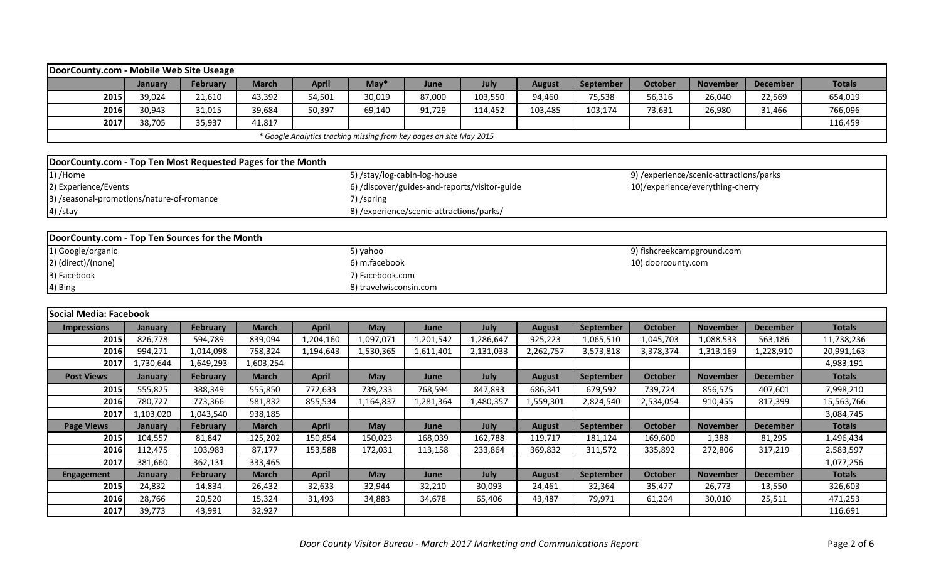| DoorCounty.com - Mobile Web Site Useage                     |                                                                     |                 |              |              |                                          |        |                                               |               |           |         |                                         |                 |               |  |  |
|-------------------------------------------------------------|---------------------------------------------------------------------|-----------------|--------------|--------------|------------------------------------------|--------|-----------------------------------------------|---------------|-----------|---------|-----------------------------------------|-----------------|---------------|--|--|
|                                                             | January                                                             | <b>February</b> | <b>March</b> | <b>April</b> | $May*$                                   | June   | July                                          | <b>August</b> | September | October | <b>November</b>                         | <b>December</b> | <b>Totals</b> |  |  |
| 2015                                                        | 39,024                                                              | 21,610          | 43,392       | 54,501       | 30,019                                   | 87,000 | 103,550                                       | 94,460        | 75,538    | 56,316  | 26,040                                  | 22,569          | 654,019       |  |  |
| 2016                                                        | 30,943                                                              | 31,015          | 39,684       | 50,397       | 69,140                                   | 91,729 | 114,452                                       | 103,485       | 103,174   | 73,631  | 26,980                                  | 31,466          | 766,096       |  |  |
| 2017                                                        | 38,705                                                              | 35,937          | 41,817       |              |                                          |        |                                               |               |           |         |                                         |                 | 116,459       |  |  |
|                                                             | * Google Analytics tracking missing from key pages on site May 2015 |                 |              |              |                                          |        |                                               |               |           |         |                                         |                 |               |  |  |
|                                                             |                                                                     |                 |              |              |                                          |        |                                               |               |           |         |                                         |                 |               |  |  |
| DoorCounty.com - Top Ten Most Requested Pages for the Month |                                                                     |                 |              |              |                                          |        |                                               |               |           |         |                                         |                 |               |  |  |
| 1) /Home                                                    |                                                                     |                 |              |              | 5) /stay/log-cabin-log-house             |        |                                               |               |           |         | 9) /experience/scenic-attractions/parks |                 |               |  |  |
| 2) Experience/Events                                        |                                                                     |                 |              |              |                                          |        | 6) /discover/guides-and-reports/visitor-guide |               |           |         | 10)/experience/everything-cherry        |                 |               |  |  |
| 3) /seasonal-promotions/nature-of-romance                   |                                                                     |                 |              |              | 7) /spring                               |        |                                               |               |           |         |                                         |                 |               |  |  |
| 4) /stay                                                    |                                                                     |                 |              |              | 8) /experience/scenic-attractions/parks/ |        |                                               |               |           |         |                                         |                 |               |  |  |
|                                                             |                                                                     |                 |              |              |                                          |        |                                               |               |           |         |                                         |                 |               |  |  |
| DoorCounty.com - Top Ten Sources for the Month              |                                                                     |                 |              |              |                                          |        |                                               |               |           |         |                                         |                 |               |  |  |
|                                                             |                                                                     |                 |              |              |                                          |        |                                               |               |           |         |                                         |                 |               |  |  |

| 1) Google/organic  | 5) yahoo               | 9) fishcreekcampground.com |
|--------------------|------------------------|----------------------------|
| 2) (direct)/(none) | 6) m.facebook          | 10) doorcounty.com         |
| 3) Facebook        | 7) Facebook.com        |                            |
| 4) Bing            | 8) travelwisconsin.com |                            |

| Social Media: Facebook |           |                 |              |              |            |           |           |               |                  |                |                 |                   |               |
|------------------------|-----------|-----------------|--------------|--------------|------------|-----------|-----------|---------------|------------------|----------------|-----------------|-------------------|---------------|
| <b>Impressions</b>     | January   | <b>February</b> | <b>March</b> | <b>April</b> | <b>May</b> | June      | July      | <b>August</b> | September        | <b>October</b> | <b>November</b> | <b>December</b>   | <b>Totals</b> |
| 2015                   | 826,778   | 594,789         | 839,094      | 1,204,160    | 1,097,071  | 1,201,542 | 1,286,647 | 925,223       | 1,065,510        | 1,045,703      | 1,088,533       | 563,186           | 11,738,236    |
| 2016                   | 994,271   | 1,014,098       | 758,324      | 1,194,643    | 1,530,365  | 1,611,401 | 2,131,033 | 2,262,757     | 3,573,818        | 3,378,374      | 1,313,169       | l <b>,228,910</b> | 20,991,163    |
| 2017                   | 1,730,644 | 1,649,293       | 1,603,254    |              |            |           |           |               |                  |                |                 |                   | 4,983,191     |
| <b>Post Views</b>      | January   | February        | <b>March</b> | <b>April</b> | <b>May</b> | June      | July      | <b>August</b> | <b>September</b> | <b>October</b> | <b>November</b> | <b>December</b>   | <b>Totals</b> |
| 2015                   | 555,825   | 388,349         | 555,850      | 772,633      | 739,233    | 768,594   | 847,893   | 686,341       | 679,592          | 739,724        | 856,575         | 407,601           | 7,998,210     |
| 2016                   | 780,727   | 773,366         | 581,832      | 855,534      | 1,164,837  | 1,281,364 | 1,480,357 | 1,559,301     | 2,824,540        | 2,534,054      | 910,455         | 817,399           | 15,563,766    |
| 2017                   | 1,103,020 | 1,043,540       | 938,185      |              |            |           |           |               |                  |                |                 |                   | 3,084,745     |
| <b>Page Views</b>      | January   | February        | <b>March</b> | <b>April</b> | <b>May</b> | June      | July      | <b>August</b> | September        | <b>October</b> | <b>November</b> | <b>December</b>   | <b>Totals</b> |
| 2015                   | 104,557   | 81,847          | 125,202      | 150,854      | 150,023    | 168,039   | 162,788   | 119,717       | 181,124          | 169,600        | 1,388           | 81,295            | 1,496,434     |
| 2016                   | 112,475   | 103,983         | 87,177       | 153,588      | 172,031    | 113,158   | 233,864   | 369,832       | 311,572          | 335,892        | 272,806         | 317,219           | 2,583,597     |
| 2017                   | 381,660   | 362,131         | 333,465      |              |            |           |           |               |                  |                |                 |                   | 1,077,256     |
| <b>Engagement</b>      | January   | February        | <b>March</b> | <b>April</b> | <b>May</b> | June      | July      | <b>August</b> | September        | October        | <b>November</b> | <b>December</b>   | <b>Totals</b> |
| 2015                   | 24,832    | 14,834          | 26,432       | 32,633       | 32,944     | 32,210    | 30,093    | 24,461        | 32,364           | 35,477         | 26,773          | 13,550            | 326,603       |
| 2016                   | 28,766    | 20,520          | 15,324       | 31,493       | 34,883     | 34,678    | 65,406    | 43,487        | 79,971           | 61,204         | 30,010          | 25,511            | 471,253       |
| 2017                   | 39,773    | 43,991          | 32,927       |              |            |           |           |               |                  |                |                 |                   | 116,691       |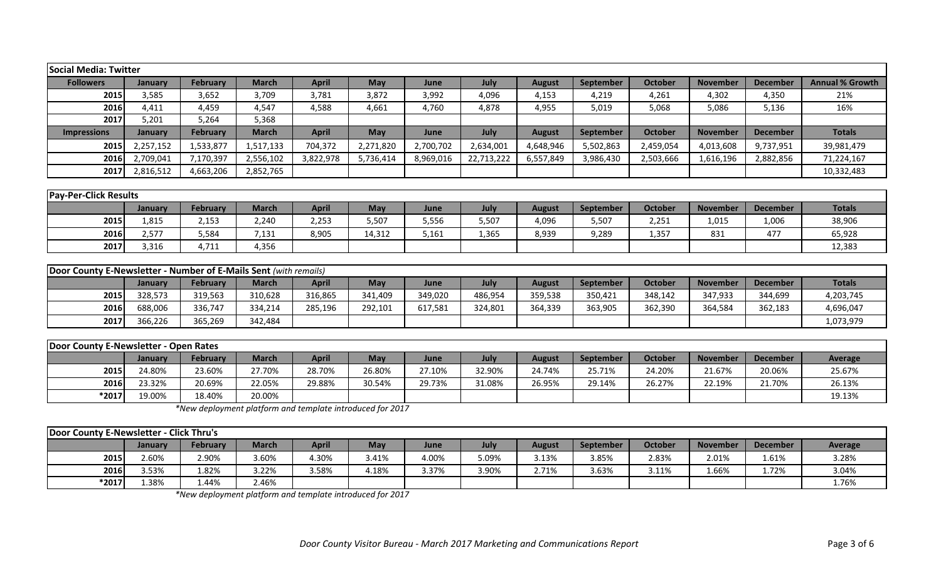| <b>Social Media: Twitter</b>                                     |                |                 |              |              |            |           |            |               |                  |                |                 |                 |                        |
|------------------------------------------------------------------|----------------|-----------------|--------------|--------------|------------|-----------|------------|---------------|------------------|----------------|-----------------|-----------------|------------------------|
| <b>Followers</b>                                                 | January        | February        | <b>March</b> | <b>April</b> | <b>May</b> | June      | July       | <b>August</b> | September        | <b>October</b> | <b>November</b> | <b>December</b> | <b>Annual % Growth</b> |
| 2015                                                             | 3,585          | 3,652           | 3,709        | 3,781        | 3,872      | 3,992     | 4,096      | 4,153         | 4,219            | 4,261          | 4,302           | 4,350           | 21%                    |
| 2016                                                             | 4,411          | 4,459           | 4,547        | 4,588        | 4,661      | 4,760     | 4,878      | 4,955         | 5,019            | 5,068          | 5,086           | 5,136           | 16%                    |
| 2017                                                             | 5,201          | 5,264           | 5,368        |              |            |           |            |               |                  |                |                 |                 |                        |
| <b>Impressions</b>                                               | January        | <b>February</b> | <b>March</b> | <b>April</b> | <b>May</b> | June      | July       | <b>August</b> | <b>September</b> | <b>October</b> | <b>November</b> | <b>December</b> | <b>Totals</b>          |
| 2015                                                             | 2,257,152      | 1,533,877       | 1,517,133    | 704,372      | 2,271,820  | 2,700,702 | 2,634,001  | 4,648,946     | 5,502,863        | 2,459,054      | 4,013,608       | 9,737,951       | 39,981,479             |
| 2016                                                             | 2,709,041      | 7,170,397       | 2,556,102    | 3,822,978    | 5,736,414  | 8,969,016 | 22,713,222 | 6,557,849     | 3,986,430        | 2,503,666      | 1,616,196       | 2,882,856       | 71,224,167             |
| 2017                                                             | 2,816,512      | 4,663,206       | 2,852,765    |              |            |           |            |               |                  |                |                 |                 | 10,332,483             |
|                                                                  |                |                 |              |              |            |           |            |               |                  |                |                 |                 |                        |
| <b>Pay-Per-Click Results</b>                                     |                |                 |              |              |            |           |            |               |                  |                |                 |                 |                        |
|                                                                  | <b>January</b> | <b>February</b> | <b>March</b> | <b>April</b> | <b>May</b> | June      | July       | <b>August</b> | September        | <b>October</b> | <b>November</b> | <b>December</b> | <b>Totals</b>          |
| 2015                                                             | 1,815          | 2,153           | 2,240        | 2,253        | 5,507      | 5,556     | 5,507      | 4,096         | 5,507            | 2,251          | 1,015           | 1,006           | 38,906                 |
| 2016                                                             | 2,577          | 5,584           | 7,131        | 8,905        | 14,312     | 5,161     | 1,365      | 8,939         | 9,289            | 1,357          | 831             | 477             | 65,928                 |
| 2017                                                             | 3,316          | 4,711           | 4,356        |              |            |           |            |               |                  |                |                 |                 | 12,383                 |
|                                                                  |                |                 |              |              |            |           |            |               |                  |                |                 |                 |                        |
| Door County E-Newsletter - Number of E-Mails Sent (with remails) |                |                 |              |              |            |           |            |               |                  |                |                 |                 |                        |
|                                                                  | January        | <b>February</b> | <b>March</b> | <b>April</b> | May        | June      | July       | <b>August</b> | September        | <b>October</b> | <b>November</b> | <b>December</b> | <b>Totals</b>          |
| 2015                                                             | 328,573        | 319,563         | 310,628      | 316,865      | 341,409    | 349,020   | 486,954    | 359,538       | 350,421          | 348,142        | 347,933         | 344,699         | 4,203,745              |
| 2016                                                             | 688,006        | 336,747         | 334,214      | 285,196      | 292,101    | 617,581   | 324,801    | 364,339       | 363,905          | 362,390        | 364,584         | 362,183         | 4,696,047              |
| 2017                                                             | 366,226        | 365,269         | 342,484      |              |            |           |            |               |                  |                |                 |                 | 1,073,979              |
| Door County F-Newsletter - Onen Rates                            |                |                 |              |              |            |           |            |               |                  |                |                 |                 |                        |

| Door County E-Newsletter - Open Rates |         |                 |              |        |            |        |        |        |                  |         |                 |                 |         |
|---------------------------------------|---------|-----------------|--------------|--------|------------|--------|--------|--------|------------------|---------|-----------------|-----------------|---------|
|                                       | January | <b>February</b> | <b>March</b> | April  | <b>May</b> | June   | July   | August | <b>September</b> | October | <b>November</b> | <b>December</b> | Average |
| 2015                                  | 24.80%  | 23.60%          | 27.70%       | 28.70% | 26.80%     | 27.10% | 32.90% | 24.74% | 25.71%           | 24.20%  | 21.67%          | 20.06%          | 25.67%  |
| 2016                                  | 23.32%  | 20.69%          | 22.05%       | 29.88% | 30.54%     | 29.73% | 31.08% | 26.95% | 29.14%           | 26.27%  | 22.19%          | 21.70%          | 26.13%  |
| *2017                                 | 19.00%  | 18.40%          | 20.00%       |        |            |        |        |        |                  |         |                 |                 | 19.13%  |

*\*New deployment platform and template introduced for 2017*

|       | Door County E-Newsletter - Click Thru's |          |              |       |            |       |       |        |                  |         |                 |                 |         |  |
|-------|-----------------------------------------|----------|--------------|-------|------------|-------|-------|--------|------------------|---------|-----------------|-----------------|---------|--|
|       | January                                 | February | <b>March</b> | April | <b>May</b> | June  | July  | August | <b>September</b> | October | <b>November</b> | <b>December</b> | Average |  |
| 2015  | 2.60%                                   | 2.90%    | 3.60%        | 4.30% | 3.41%      | 4.00% | 5.09% | 3.13%  | 3.85%            | 2.83%   | 2.01%           | 1.61%           | 3.28%   |  |
| 2016  | 3.53%                                   | 1.82%    | 3.22%        | 3.58% | 4.18%      | 3.37% | 3.90% | 2.71%  | 3.63%            | 3.11%   | 1.66%           | 1.72%           | 3.04%   |  |
| *2017 | 1.38%                                   | 44%،     | 2.46%        |       |            |       |       |        |                  |         |                 |                 | 1.76%   |  |

*\*New deployment platform and template introduced for 2017*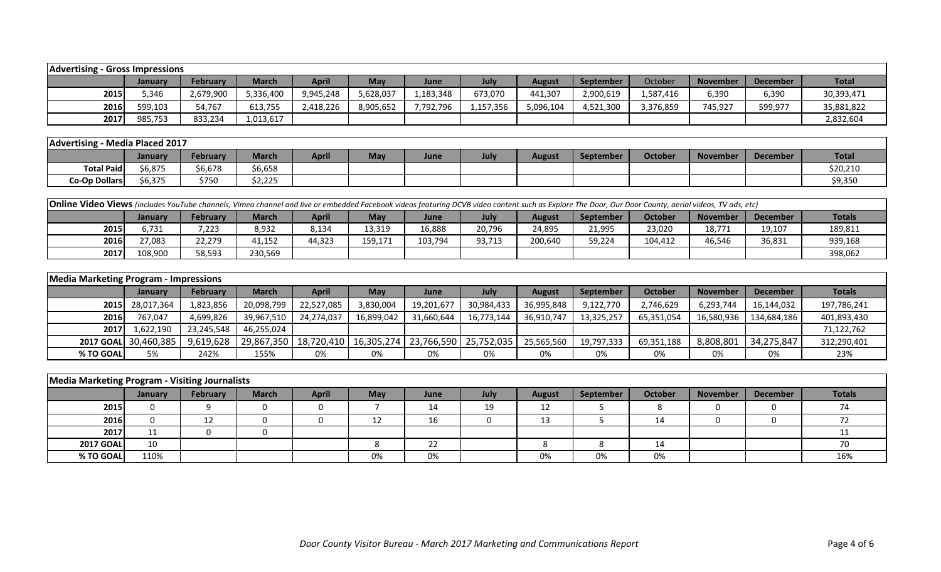| <b>Advertising</b> | - Gross Impressions |           |              |           |           |           |           |           |                  |           |                 |                 |              |
|--------------------|---------------------|-----------|--------------|-----------|-----------|-----------|-----------|-----------|------------------|-----------|-----------------|-----------------|--------------|
|                    | January             | February  | <b>March</b> | April     | May       | June      | July      | August    | <b>September</b> | October   | <b>November</b> | <b>December</b> | <b>Total</b> |
| 2015               | 346.ز               | 2,679,900 | 5,336,400    | 9,945,248 | 5,628,037 | 1,183,348 | 673,070   | 441,307   | 2,900,619        | 1,587,416 | 6,390           | 6,390           | 30,393,471   |
| 2016               | 599,103             | 34,767    | 613,755      | 2,418,226 | 8,905,652 | 7,792,796 | 1,157,356 | 5,096,104 | 4,521,300        | 3,376,859 | 745,927         | 599,977         | 35,881,822   |
| 2017               | 985,753             | 833,234   | 1,013,617    |           |           |           |           |           |                  |           |                 |                 | 2,832,604    |

| Advertising       | Media Placed 2017 |          |              |              |     |      |      |               |           |         |                 |          |              |
|-------------------|-------------------|----------|--------------|--------------|-----|------|------|---------------|-----------|---------|-----------------|----------|--------------|
|                   | Januarv           | February | <b>March</b> | <b>April</b> | May | June | July | <b>August</b> | September | October | <b>November</b> | December | <b>Total</b> |
| <b>Total Paid</b> | 6,875             | 6,678    | \$6,658      |              |     |      |      |               |           |         |                 |          | \$20,210     |
| Co-Op Dollars     | 6,375             | \$750    | \$2,225      |              |     |      |      |               |           |         |                 |          | \$9,350      |

| <b>Online Video Views</b> (includes YouTube channels, Vimeo channel and live or embedded Facebook videos featuring DCVB video content such as Explore The Door, Our Door County, aerial videos, TV ads, etc) |                |                 |              |        |         |         |        |         |                  |                |                 |                 |               |
|--------------------------------------------------------------------------------------------------------------------------------------------------------------------------------------------------------------|----------------|-----------------|--------------|--------|---------|---------|--------|---------|------------------|----------------|-----------------|-----------------|---------------|
|                                                                                                                                                                                                              | <b>January</b> | <b>February</b> | <b>March</b> | April  | May     | June    | July   | August  | <b>September</b> | <b>October</b> | <b>November</b> | <b>December</b> | <b>Totals</b> |
| 2015                                                                                                                                                                                                         | 731.ز          | 7,223           | 8,932        | 8,134  | 13,319  | 16,888  | 20,796 | 24,895  | 21,995           | 23,020         | 18,771          | 19,107          | 189,811       |
| 2016                                                                                                                                                                                                         | 77,083         | 22,279          | 41,152       | 44,323 | 159,171 | 103,794 | 93,713 | 200,640 | 59,224           | 104.412        | 46,546          | 36,831          | 939,168       |
| 2017                                                                                                                                                                                                         | 108.900        | 58,593          | 230,569      |        |         |         |        |         |                  |                |                 |                 | 398,062       |

| <b>Media Marketing Program - Impressions</b> |                      |                 |              |                                                                |            |            |            |               |                  |            |                 |                 |               |
|----------------------------------------------|----------------------|-----------------|--------------|----------------------------------------------------------------|------------|------------|------------|---------------|------------------|------------|-----------------|-----------------|---------------|
|                                              | <b>January</b>       | <b>February</b> | <b>March</b> | <b>April</b>                                                   | Mav        | June       | July       | <b>August</b> | <b>September</b> | October    | <b>November</b> | <b>December</b> | <b>Totals</b> |
|                                              | 2015 28,017,364      | 1,823,856       | 20,098,799   | 22,527,085                                                     | 3,830,004  | 19,201,677 | 30,984,433 | 36,995,848    | 9,122,770        | 2,746,629  | 6,293,744       | 16,144,032      | 197,786,241   |
| 2016                                         | 767,047              | 4,699,826       | 39,967,510   | 24,274,037                                                     | 16,899,042 | 31,660,644 | 16,773,144 | 36,910,747    | 13,325,257       | 65,351,054 | 16,580,936      | 134,684,186     | 401,893,430   |
| <b>2017</b>                                  | 1,622,190            | 23,245,548      | 46,255,024   |                                                                |            |            |            |               |                  |            |                 |                 | 71,122,762    |
|                                              | 2017 GOAL 30,460,385 | 9,619,628       |              | 29,867,350   18,720,410   16,305,274   23,766,590   25,752,035 |            |            |            | 25,565,560    | 19,797,333       | 69,351,188 | 8,808,801       | 34,275,847      | 312,290,401   |
| % TO GOAL                                    | 5%                   | 242%            | 155%         | 0%                                                             | 0%         | 0%         | 0%         | 0%            | 0%               | 0%         | 0%              | 0%              | 23%           |

| Media Marketing Program - Visiting Journalists |                |          |              |              |            |      |      |               |                  |         |                 |          |                          |
|------------------------------------------------|----------------|----------|--------------|--------------|------------|------|------|---------------|------------------|---------|-----------------|----------|--------------------------|
|                                                | <b>January</b> | February | <b>March</b> | <b>April</b> | <b>May</b> | June | July | <b>August</b> | <b>September</b> | October | <b>November</b> | December | <b>Totals</b>            |
| 2015                                           |                |          |              |              |            | 14   | 19   | 12            |                  |         | O               |          | $\overline{\phantom{a}}$ |
| 2016                                           |                |          |              |              |            | 16   |      | 13            |                  | 14      |                 |          |                          |
| 2017                                           | ᆠᆂ             |          |              |              |            |      |      |               |                  |         |                 |          |                          |
| <b>2017 GOAL</b>                               | 10             |          |              |              |            | 22   |      |               |                  | 14      |                 |          |                          |
| % TO GOAL                                      | 110%           |          |              |              | 0%         | 0%   |      | 0%            | 0%               | 0%      |                 |          | 16%                      |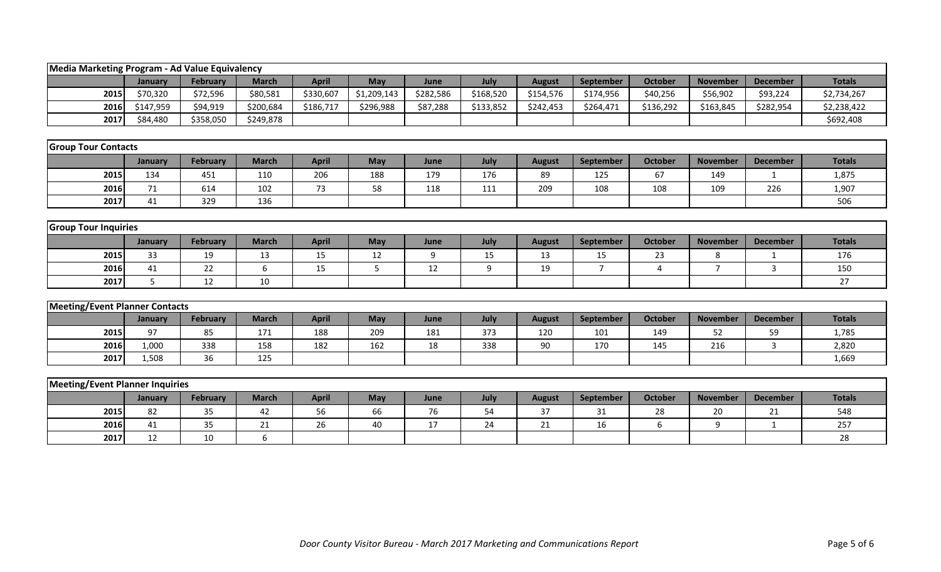| Media Marketing Program - Ad Value Equivalency |             |                 |              |              |             |           |           |               |                |                |                 |                 |               |
|------------------------------------------------|-------------|-----------------|--------------|--------------|-------------|-----------|-----------|---------------|----------------|----------------|-----------------|-----------------|---------------|
|                                                | January     | <b>February</b> | <b>March</b> | <b>April</b> | May         | June      | July      | <b>August</b> | September      | <b>October</b> | <b>November</b> | <b>December</b> | <b>Totals</b> |
| 2015                                           | \$70,320    | \$72,596        | \$80,581     | \$330,607    | \$1,209,143 | \$282,586 | \$168,520 | \$154,576     | \$174,956      | \$40,256       | \$56,902        | \$93,224        | \$2,734,267   |
| 2016                                           | \$147,959   | \$94,919        | \$200,684    | \$186,717    | \$296,988   | \$87,288  | \$133,852 | \$242,453     | \$264,471      | \$136,292      | \$163,845       | \$282,954       | \$2,238,422   |
| 2017                                           | \$84,480    | \$358,050       | \$249,878    |              |             |           |           |               |                |                |                 |                 | \$692,408     |
|                                                |             |                 |              |              |             |           |           |               |                |                |                 |                 |               |
| <b>Group Tour Contacts</b>                     |             |                 |              |              |             |           |           |               |                |                |                 |                 |               |
|                                                | January     | February        | <b>March</b> | <b>April</b> | May         | June      | July      | <b>August</b> | September      | <b>October</b> | <b>November</b> | <b>December</b> | <b>Totals</b> |
| 2015                                           | 134         | 451             | 110          | 206          | 188         | 179       | 176       | 89            | 125            | 67             | 149             | 1               | 1,875         |
| 2016                                           | 71          | 614             | 102          | 73           | 58          | 118       | 111       | 209           | 108            | 108            | 109             | 226             | 1,907         |
| 2017                                           | 41          | 329             | 136          |              |             |           |           |               |                |                |                 |                 | 506           |
|                                                |             |                 |              |              |             |           |           |               |                |                |                 |                 |               |
| <b>Group Tour Inquiries</b>                    |             |                 |              |              |             |           |           |               |                |                |                 |                 |               |
|                                                | January     | February        | <b>March</b> | <b>April</b> | May         | June      | July      | <b>August</b> | September      | <b>October</b> | <b>November</b> | <b>December</b> | <b>Totals</b> |
| 2015                                           | 33          | 19              | 13           | 15           | 12          | 9         | 15        | 13            | 15             | 23             | 8               |                 | 176           |
| 2016                                           | 41          | 22              | 6            | 15           | 5           | 12        | 9         | 19            | $\overline{7}$ | $\overline{4}$ | $\overline{7}$  | $\mathbf{3}$    | 150           |
| 2017                                           | $5^{\circ}$ | 12              | 10           |              |             |           |           |               |                |                |                 |                 | 27            |
|                                                |             |                 |              |              |             |           |           |               |                |                |                 |                 |               |
| <b>Meeting/Event Planner Contacts</b>          |             |                 |              |              |             |           |           |               |                |                |                 |                 |               |
|                                                | January     | February        | <b>March</b> | <b>April</b> | May         | June      | July      | <b>August</b> | September      | <b>October</b> | <b>November</b> | <b>December</b> | <b>Totals</b> |
| 2015                                           | 97          | 85              | 171          | 188          | 209         | 181       | 373       | 120           | 101            | 149            | 52              | 59              | 1,785         |
| 2016                                           | 1,000       | 338             | 158          | 182          | 162         | 18        | 338       | 90            | 170            | 145            | 216             | $\mathbf{3}$    | 2,820         |
| 2017                                           | 1,508       | 36              | 125          |              |             |           |           |               |                |                |                 |                 | 1,669         |
|                                                |             |                 |              |              |             |           |           |               |                |                |                 |                 |               |
| <b>Meeting/Event Planner Inquiries</b>         |             |                 |              |              |             |           |           |               |                |                |                 |                 |               |
|                                                | January     | February        | <b>March</b> | <b>April</b> | May         | June      | July      | <b>August</b> | September      | <b>October</b> | <b>November</b> | <b>December</b> | <b>Totals</b> |
| 2015                                           | 82          | 35              | 42           | 56           | 66          | 76        | 54        | 37            | 31             | 28             | 20              | 21              | 548           |
| 2016                                           | 41          | 35              | 21           | 26           | 40          | 17        | 24        | 21            | 16             | 6              | 9               | $\mathbf{1}$    | 257           |
| 2017                                           | 12          | 10              | 6            |              |             |           |           |               |                |                |                 |                 | 28            |